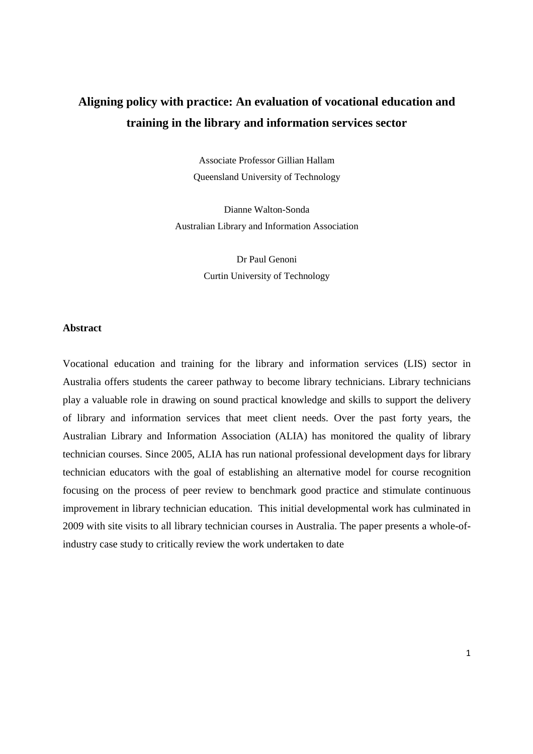# **Aligning policy with practice: An evaluation of vocational education and training in the library and information services sector**

Associate Professor Gillian Hallam Queensland University of Technology

Dianne Walton-Sonda Australian Library and Information Association

> Dr Paul Genoni Curtin University of Technology

# **Abstract**

Vocational education and training for the library and information services (LIS) sector in Australia offers students the career pathway to become library technicians. Library technicians play a valuable role in drawing on sound practical knowledge and skills to support the delivery of library and information services that meet client needs. Over the past forty years, the Australian Library and Information Association (ALIA) has monitored the quality of library technician courses. Since 2005, ALIA has run national professional development days for library technician educators with the goal of establishing an alternative model for course recognition focusing on the process of peer review to benchmark good practice and stimulate continuous improvement in library technician education. This initial developmental work has culminated in 2009 with site visits to all library technician courses in Australia. The paper presents a whole-ofindustry case study to critically review the work undertaken to date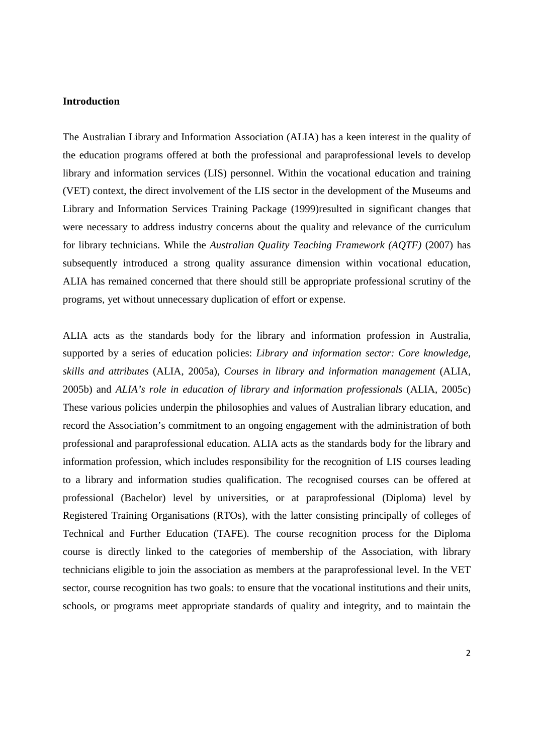## **Introduction**

The Australian Library and Information Association (ALIA) has a keen interest in the quality of the education programs offered at both the professional and paraprofessional levels to develop library and information services (LIS) personnel. Within the vocational education and training (VET) context, the direct involvement of the LIS sector in the development of the Museums and Library and Information Services Training Package (1999)resulted in significant changes that were necessary to address industry concerns about the quality and relevance of the curriculum for library technicians. While the *Australian Quality Teaching Framework (AQTF)* (2007) has subsequently introduced a strong quality assurance dimension within vocational education, ALIA has remained concerned that there should still be appropriate professional scrutiny of the programs, yet without unnecessary duplication of effort or expense.

ALIA acts as the standards body for the library and information profession in Australia, supported by a series of education policies: *Library and information sector: Core knowledge, skills and attributes* (ALIA, 2005a), *Courses in library and information management* (ALIA, 2005b) and *ALIA's role in education of library and information professionals* (ALIA, 2005c) These various policies underpin the philosophies and values of Australian library education, and record the Association's commitment to an ongoing engagement with the administration of both professional and paraprofessional education. ALIA acts as the standards body for the library and information profession, which includes responsibility for the recognition of LIS courses leading to a library and information studies qualification. The recognised courses can be offered at professional (Bachelor) level by universities, or at paraprofessional (Diploma) level by Registered Training Organisations (RTOs), with the latter consisting principally of colleges of Technical and Further Education (TAFE). The course recognition process for the Diploma course is directly linked to the categories of membership of the Association, with library technicians eligible to join the association as members at the paraprofessional level. In the VET sector, course recognition has two goals: to ensure that the vocational institutions and their units, schools, or programs meet appropriate standards of quality and integrity, and to maintain the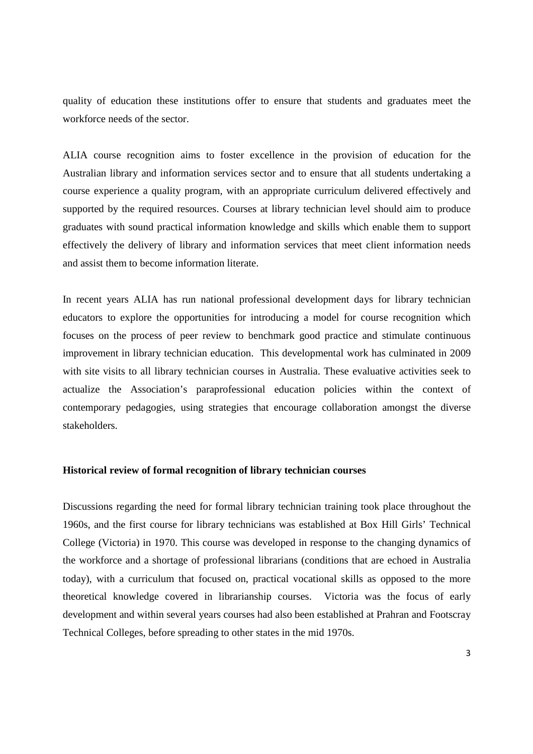quality of education these institutions offer to ensure that students and graduates meet the workforce needs of the sector.

ALIA course recognition aims to foster excellence in the provision of education for the Australian library and information services sector and to ensure that all students undertaking a course experience a quality program, with an appropriate curriculum delivered effectively and supported by the required resources. Courses at library technician level should aim to produce graduates with sound practical information knowledge and skills which enable them to support effectively the delivery of library and information services that meet client information needs and assist them to become information literate.

In recent years ALIA has run national professional development days for library technician educators to explore the opportunities for introducing a model for course recognition which focuses on the process of peer review to benchmark good practice and stimulate continuous improvement in library technician education. This developmental work has culminated in 2009 with site visits to all library technician courses in Australia. These evaluative activities seek to actualize the Association's paraprofessional education policies within the context of contemporary pedagogies, using strategies that encourage collaboration amongst the diverse stakeholders.

## **Historical review of formal recognition of library technician courses**

Discussions regarding the need for formal library technician training took place throughout the 1960s, and the first course for library technicians was established at Box Hill Girls' Technical College (Victoria) in 1970. This course was developed in response to the changing dynamics of the workforce and a shortage of professional librarians (conditions that are echoed in Australia today), with a curriculum that focused on, practical vocational skills as opposed to the more theoretical knowledge covered in librarianship courses. Victoria was the focus of early development and within several years courses had also been established at Prahran and Footscray Technical Colleges, before spreading to other states in the mid 1970s.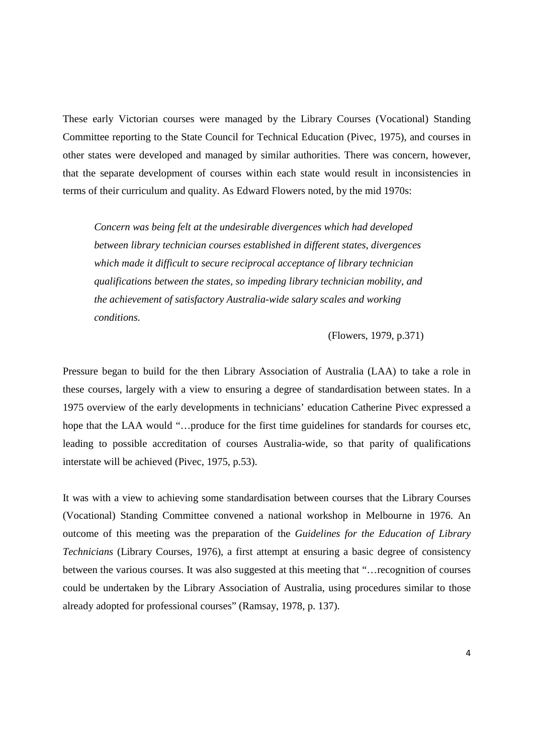These early Victorian courses were managed by the Library Courses (Vocational) Standing Committee reporting to the State Council for Technical Education (Pivec, 1975), and courses in other states were developed and managed by similar authorities. There was concern, however, that the separate development of courses within each state would result in inconsistencies in terms of their curriculum and quality. As Edward Flowers noted, by the mid 1970s:

*Concern was being felt at the undesirable divergences which had developed between library technician courses established in different states, divergences which made it difficult to secure reciprocal acceptance of library technician qualifications between the states, so impeding library technician mobility, and the achievement of satisfactory Australia-wide salary scales and working conditions.* 

(Flowers, 1979, p.371)

Pressure began to build for the then Library Association of Australia (LAA) to take a role in these courses, largely with a view to ensuring a degree of standardisation between states. In a 1975 overview of the early developments in technicians' education Catherine Pivec expressed a hope that the LAA would "...produce for the first time guidelines for standards for courses etc, leading to possible accreditation of courses Australia-wide, so that parity of qualifications interstate will be achieved (Pivec, 1975, p.53).

It was with a view to achieving some standardisation between courses that the Library Courses (Vocational) Standing Committee convened a national workshop in Melbourne in 1976. An outcome of this meeting was the preparation of the *Guidelines for the Education of Library Technicians* (Library Courses, 1976), a first attempt at ensuring a basic degree of consistency between the various courses. It was also suggested at this meeting that "…recognition of courses could be undertaken by the Library Association of Australia, using procedures similar to those already adopted for professional courses" (Ramsay, 1978, p. 137).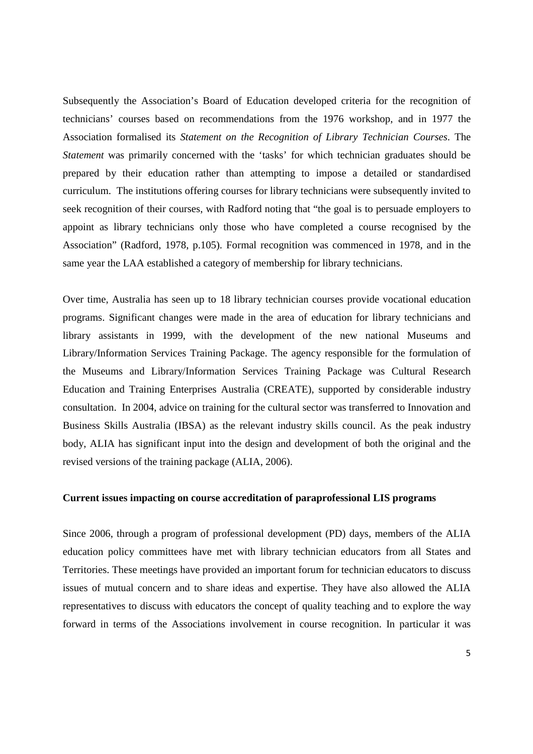Subsequently the Association's Board of Education developed criteria for the recognition of technicians' courses based on recommendations from the 1976 workshop, and in 1977 the Association formalised its *Statement on the Recognition of Library Technician Courses*. The *Statement* was primarily concerned with the 'tasks' for which technician graduates should be prepared by their education rather than attempting to impose a detailed or standardised curriculum. The institutions offering courses for library technicians were subsequently invited to seek recognition of their courses, with Radford noting that "the goal is to persuade employers to appoint as library technicians only those who have completed a course recognised by the Association" (Radford, 1978, p.105). Formal recognition was commenced in 1978, and in the same year the LAA established a category of membership for library technicians.

Over time, Australia has seen up to 18 library technician courses provide vocational education programs. Significant changes were made in the area of education for library technicians and library assistants in 1999, with the development of the new national Museums and Library/Information Services Training Package. The agency responsible for the formulation of the Museums and Library/Information Services Training Package was Cultural Research Education and Training Enterprises Australia (CREATE), supported by considerable industry consultation. In 2004, advice on training for the cultural sector was transferred to Innovation and Business Skills Australia (IBSA) as the relevant industry skills council. As the peak industry body, ALIA has significant input into the design and development of both the original and the revised versions of the training package (ALIA, 2006).

#### **Current issues impacting on course accreditation of paraprofessional LIS programs**

Since 2006, through a program of professional development (PD) days, members of the ALIA education policy committees have met with library technician educators from all States and Territories. These meetings have provided an important forum for technician educators to discuss issues of mutual concern and to share ideas and expertise. They have also allowed the ALIA representatives to discuss with educators the concept of quality teaching and to explore the way forward in terms of the Associations involvement in course recognition. In particular it was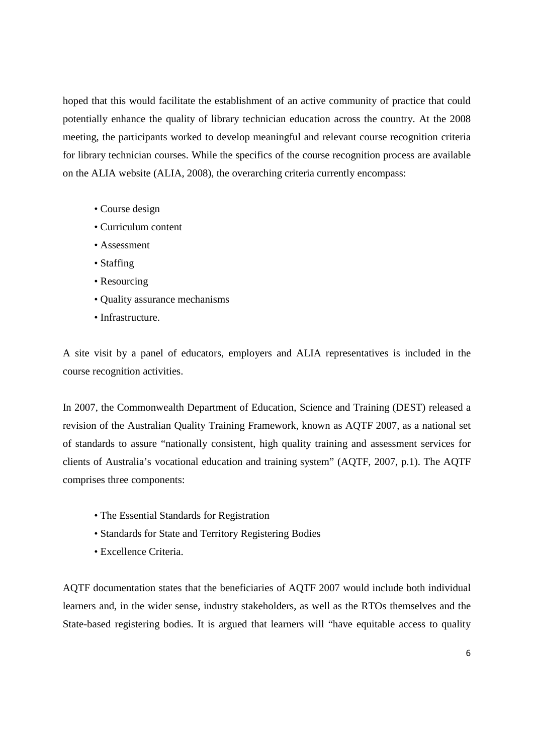hoped that this would facilitate the establishment of an active community of practice that could potentially enhance the quality of library technician education across the country. At the 2008 meeting, the participants worked to develop meaningful and relevant course recognition criteria for library technician courses. While the specifics of the course recognition process are available on the ALIA website (ALIA, 2008), the overarching criteria currently encompass:

- Course design
- Curriculum content
- Assessment
- Staffing
- Resourcing
- Quality assurance mechanisms
- Infrastructure.

A site visit by a panel of educators, employers and ALIA representatives is included in the course recognition activities.

In 2007, the Commonwealth Department of Education, Science and Training (DEST) released a revision of the Australian Quality Training Framework, known as AQTF 2007, as a national set of standards to assure "nationally consistent, high quality training and assessment services for clients of Australia's vocational education and training system" (AQTF, 2007, p.1). The AQTF comprises three components:

- The Essential Standards for Registration
- Standards for State and Territory Registering Bodies
- Excellence Criteria.

AQTF documentation states that the beneficiaries of AQTF 2007 would include both individual learners and, in the wider sense, industry stakeholders, as well as the RTOs themselves and the State-based registering bodies. It is argued that learners will "have equitable access to quality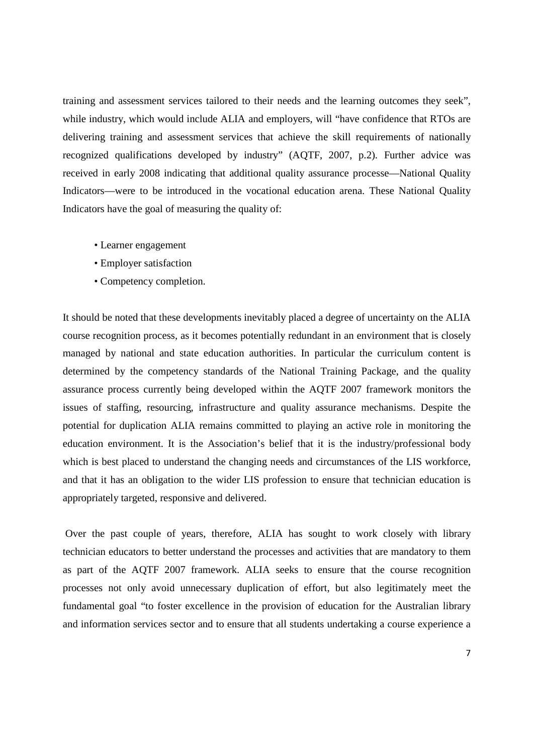training and assessment services tailored to their needs and the learning outcomes they seek", while industry, which would include ALIA and employers, will "have confidence that RTOs are delivering training and assessment services that achieve the skill requirements of nationally recognized qualifications developed by industry" (AQTF, 2007, p.2). Further advice was received in early 2008 indicating that additional quality assurance processe—National Quality Indicators—were to be introduced in the vocational education arena. These National Quality Indicators have the goal of measuring the quality of:

- Learner engagement
- Employer satisfaction
- Competency completion.

It should be noted that these developments inevitably placed a degree of uncertainty on the ALIA course recognition process, as it becomes potentially redundant in an environment that is closely managed by national and state education authorities. In particular the curriculum content is determined by the competency standards of the National Training Package, and the quality assurance process currently being developed within the AQTF 2007 framework monitors the issues of staffing, resourcing, infrastructure and quality assurance mechanisms. Despite the potential for duplication ALIA remains committed to playing an active role in monitoring the education environment. It is the Association's belief that it is the industry/professional body which is best placed to understand the changing needs and circumstances of the LIS workforce, and that it has an obligation to the wider LIS profession to ensure that technician education is appropriately targeted, responsive and delivered.

 Over the past couple of years, therefore, ALIA has sought to work closely with library technician educators to better understand the processes and activities that are mandatory to them as part of the AQTF 2007 framework. ALIA seeks to ensure that the course recognition processes not only avoid unnecessary duplication of effort, but also legitimately meet the fundamental goal "to foster excellence in the provision of education for the Australian library and information services sector and to ensure that all students undertaking a course experience a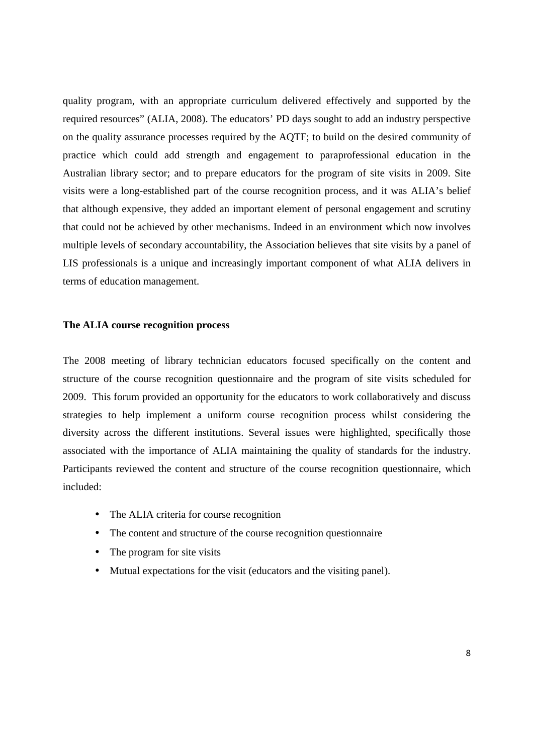quality program, with an appropriate curriculum delivered effectively and supported by the required resources" (ALIA, 2008). The educators' PD days sought to add an industry perspective on the quality assurance processes required by the AQTF; to build on the desired community of practice which could add strength and engagement to paraprofessional education in the Australian library sector; and to prepare educators for the program of site visits in 2009. Site visits were a long-established part of the course recognition process, and it was ALIA's belief that although expensive, they added an important element of personal engagement and scrutiny that could not be achieved by other mechanisms. Indeed in an environment which now involves multiple levels of secondary accountability, the Association believes that site visits by a panel of LIS professionals is a unique and increasingly important component of what ALIA delivers in terms of education management.

#### **The ALIA course recognition process**

The 2008 meeting of library technician educators focused specifically on the content and structure of the course recognition questionnaire and the program of site visits scheduled for 2009. This forum provided an opportunity for the educators to work collaboratively and discuss strategies to help implement a uniform course recognition process whilst considering the diversity across the different institutions. Several issues were highlighted, specifically those associated with the importance of ALIA maintaining the quality of standards for the industry. Participants reviewed the content and structure of the course recognition questionnaire, which included:

- The ALIA criteria for course recognition
- The content and structure of the course recognition questionnaire
- The program for site visits
- Mutual expectations for the visit (educators and the visiting panel).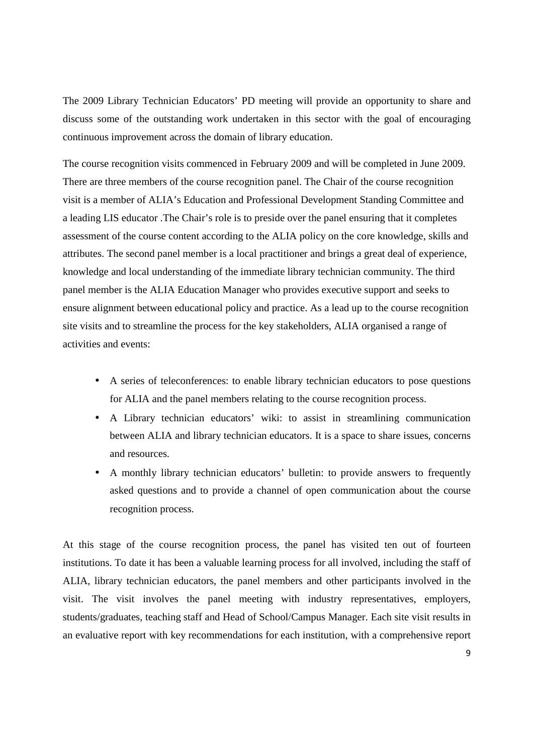The 2009 Library Technician Educators' PD meeting will provide an opportunity to share and discuss some of the outstanding work undertaken in this sector with the goal of encouraging continuous improvement across the domain of library education.

The course recognition visits commenced in February 2009 and will be completed in June 2009. There are three members of the course recognition panel. The Chair of the course recognition visit is a member of ALIA's Education and Professional Development Standing Committee and a leading LIS educator .The Chair's role is to preside over the panel ensuring that it completes assessment of the course content according to the ALIA policy on the core knowledge, skills and attributes. The second panel member is a local practitioner and brings a great deal of experience, knowledge and local understanding of the immediate library technician community. The third panel member is the ALIA Education Manager who provides executive support and seeks to ensure alignment between educational policy and practice. As a lead up to the course recognition site visits and to streamline the process for the key stakeholders, ALIA organised a range of activities and events:

- A series of teleconferences: to enable library technician educators to pose questions for ALIA and the panel members relating to the course recognition process.
- A Library technician educators' wiki: to assist in streamlining communication between ALIA and library technician educators. It is a space to share issues, concerns and resources.
- A monthly library technician educators' bulletin: to provide answers to frequently asked questions and to provide a channel of open communication about the course recognition process.

At this stage of the course recognition process, the panel has visited ten out of fourteen institutions. To date it has been a valuable learning process for all involved, including the staff of ALIA, library technician educators, the panel members and other participants involved in the visit. The visit involves the panel meeting with industry representatives, employers, students/graduates, teaching staff and Head of School/Campus Manager. Each site visit results in an evaluative report with key recommendations for each institution, with a comprehensive report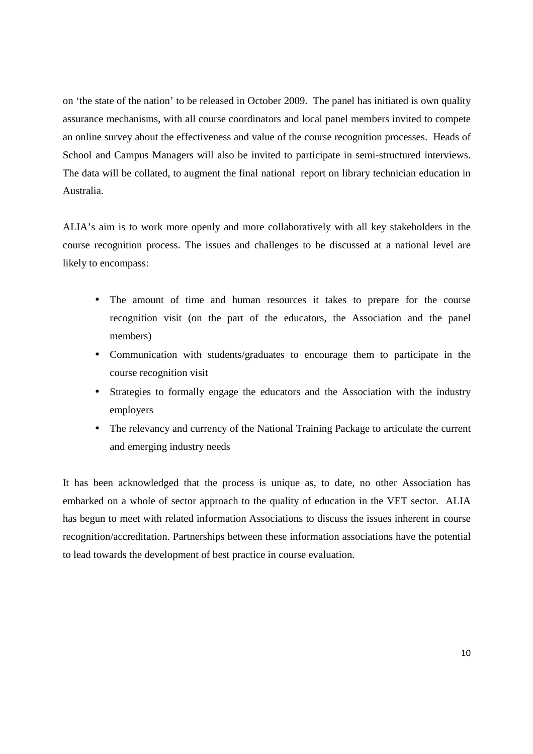on 'the state of the nation' to be released in October 2009. The panel has initiated is own quality assurance mechanisms, with all course coordinators and local panel members invited to compete an online survey about the effectiveness and value of the course recognition processes. Heads of School and Campus Managers will also be invited to participate in semi-structured interviews. The data will be collated, to augment the final national report on library technician education in Australia.

ALIA's aim is to work more openly and more collaboratively with all key stakeholders in the course recognition process. The issues and challenges to be discussed at a national level are likely to encompass:

- The amount of time and human resources it takes to prepare for the course recognition visit (on the part of the educators, the Association and the panel members)
- Communication with students/graduates to encourage them to participate in the course recognition visit
- Strategies to formally engage the educators and the Association with the industry employers
- The relevancy and currency of the National Training Package to articulate the current and emerging industry needs

It has been acknowledged that the process is unique as, to date, no other Association has embarked on a whole of sector approach to the quality of education in the VET sector. ALIA has begun to meet with related information Associations to discuss the issues inherent in course recognition/accreditation. Partnerships between these information associations have the potential to lead towards the development of best practice in course evaluation.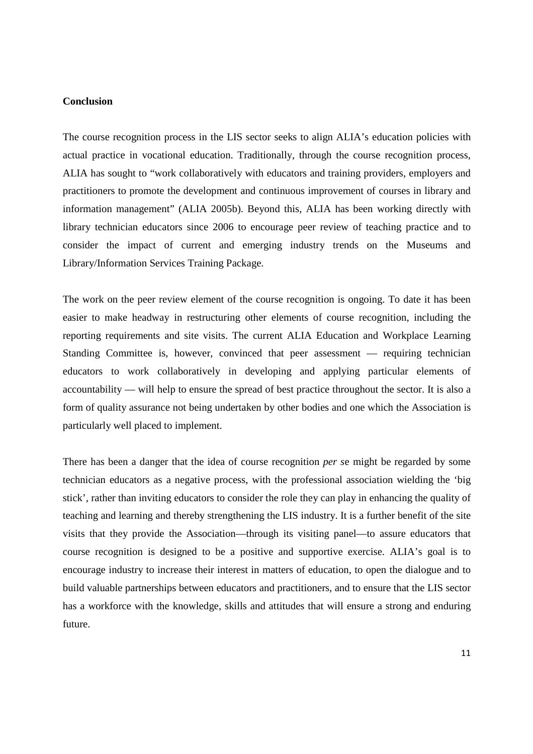# **Conclusion**

The course recognition process in the LIS sector seeks to align ALIA's education policies with actual practice in vocational education. Traditionally, through the course recognition process, ALIA has sought to "work collaboratively with educators and training providers, employers and practitioners to promote the development and continuous improvement of courses in library and information management" (ALIA 2005b). Beyond this, ALIA has been working directly with library technician educators since 2006 to encourage peer review of teaching practice and to consider the impact of current and emerging industry trends on the Museums and Library/Information Services Training Package.

The work on the peer review element of the course recognition is ongoing. To date it has been easier to make headway in restructuring other elements of course recognition, including the reporting requirements and site visits. The current ALIA Education and Workplace Learning Standing Committee is, however, convinced that peer assessment — requiring technician educators to work collaboratively in developing and applying particular elements of accountability — will help to ensure the spread of best practice throughout the sector. It is also a form of quality assurance not being undertaken by other bodies and one which the Association is particularly well placed to implement.

There has been a danger that the idea of course recognition *per s*e might be regarded by some technician educators as a negative process, with the professional association wielding the 'big stick', rather than inviting educators to consider the role they can play in enhancing the quality of teaching and learning and thereby strengthening the LIS industry. It is a further benefit of the site visits that they provide the Association—through its visiting panel—to assure educators that course recognition is designed to be a positive and supportive exercise. ALIA's goal is to encourage industry to increase their interest in matters of education, to open the dialogue and to build valuable partnerships between educators and practitioners, and to ensure that the LIS sector has a workforce with the knowledge, skills and attitudes that will ensure a strong and enduring future.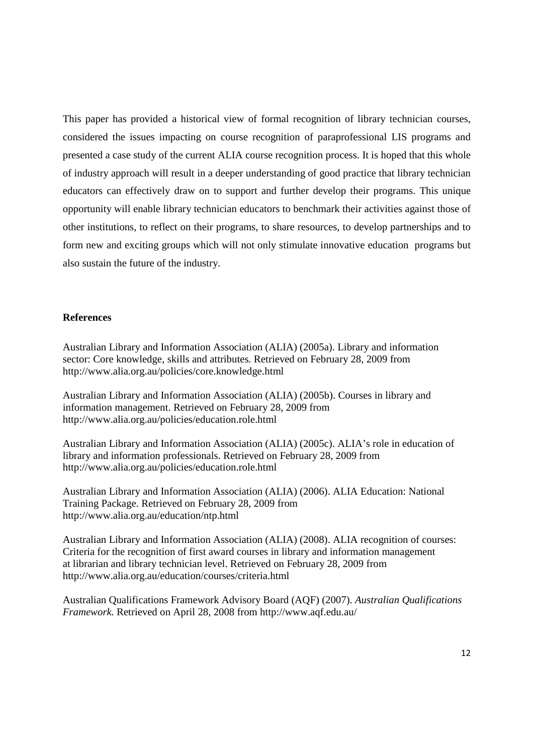This paper has provided a historical view of formal recognition of library technician courses, considered the issues impacting on course recognition of paraprofessional LIS programs and presented a case study of the current ALIA course recognition process. It is hoped that this whole of industry approach will result in a deeper understanding of good practice that library technician educators can effectively draw on to support and further develop their programs. This unique opportunity will enable library technician educators to benchmark their activities against those of other institutions, to reflect on their programs, to share resources, to develop partnerships and to form new and exciting groups which will not only stimulate innovative education programs but also sustain the future of the industry.

## **References**

Australian Library and Information Association (ALIA) (2005a). Library and information sector: Core knowledge, skills and attributes*.* Retrieved on February 28, 2009 from http://www.alia.org.au/policies/core.knowledge.html

Australian Library and Information Association (ALIA) (2005b). Courses in library and information management. Retrieved on February 28, 2009 from http://www.alia.org.au/policies/education.role.html

Australian Library and Information Association (ALIA) (2005c). ALIA's role in education of library and information professionals. Retrieved on February 28, 2009 from http://www.alia.org.au/policies/education.role.html

Australian Library and Information Association (ALIA) (2006). ALIA Education: National Training Package. Retrieved on February 28, 2009 from http://www.alia.org.au/education/ntp.html

Australian Library and Information Association (ALIA) (2008). ALIA recognition of courses: Criteria for the recognition of first award courses in library and information management at librarian and library technician level. Retrieved on February 28, 2009 from http://www.alia.org.au/education/courses/criteria.html

Australian Qualifications Framework Advisory Board (AQF) (2007). *Australian Qualifications Framework.* Retrieved on April 28, 2008 from http://www.aqf.edu.au/